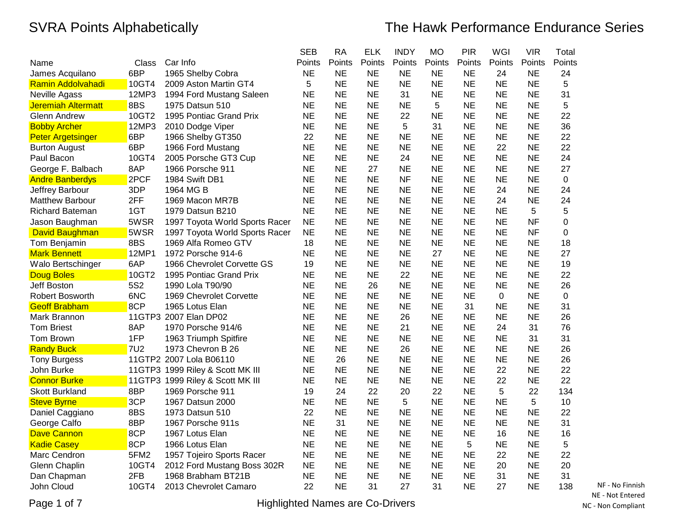|                           |                 |                                  | <b>SEB</b> | <b>RA</b> | <b>ELK</b> | <b>INDY</b> | <b>MO</b> | PIR       | WGI       | <b>VIR</b> | Total  |
|---------------------------|-----------------|----------------------------------|------------|-----------|------------|-------------|-----------|-----------|-----------|------------|--------|
| Name                      | Class           | Car Info                         | Points     | Points    | Points     | Points      | Points    | Points    | Points    | Points     | Points |
| James Acquilano           | 6BP             | 1965 Shelby Cobra                | <b>NE</b>  | <b>NE</b> | NE         | <b>NE</b>   | <b>NE</b> | <b>NE</b> | 24        | <b>NE</b>  | 24     |
| <b>Ramin Addolvahadi</b>  | 10GT4           | 2009 Aston Martin GT4            | 5          | <b>NE</b> | <b>NE</b>  | <b>NE</b>   | <b>NE</b> | <b>NE</b> | <b>NE</b> | <b>NE</b>  | 5      |
| Neville Agass             | 12MP3           | 1994 Ford Mustang Saleen         | <b>NE</b>  | <b>NE</b> | <b>NE</b>  | 31          | <b>NE</b> | <b>NE</b> | <b>NE</b> | <b>NE</b>  | 31     |
| <b>Jeremiah Altermatt</b> | 8BS             | 1975 Datsun 510                  | <b>NE</b>  | <b>NE</b> | <b>NE</b>  | <b>NE</b>   | 5         | <b>NE</b> | <b>NE</b> | <b>NE</b>  | 5      |
| <b>Glenn Andrew</b>       | 10GT2           | 1995 Pontiac Grand Prix          | <b>NE</b>  | <b>NE</b> | <b>NE</b>  | 22          | <b>NE</b> | <b>NE</b> | <b>NE</b> | <b>NE</b>  | 22     |
| <b>Bobby Archer</b>       | 12MP3           | 2010 Dodge Viper                 | <b>NE</b>  | <b>NE</b> | NE         | 5           | 31        | <b>NE</b> | <b>NE</b> | <b>NE</b>  | 36     |
| <b>Peter Argetsinger</b>  | 6BP             | 1966 Shelby GT350                | 22         | <b>NE</b> | <b>NE</b>  | <b>NE</b>   | <b>NE</b> | <b>NE</b> | <b>NE</b> | <b>NE</b>  | 22     |
| <b>Burton August</b>      | 6BP             | 1966 Ford Mustang                | <b>NE</b>  | <b>NE</b> | <b>NE</b>  | <b>NE</b>   | NE        | <b>NE</b> | 22        | <b>NE</b>  | 22     |
| Paul Bacon                | 10GT4           | 2005 Porsche GT3 Cup             | <b>NE</b>  | <b>NE</b> | <b>NE</b>  | 24          | <b>NE</b> | <b>NE</b> | <b>NE</b> | <b>NE</b>  | 24     |
| George F. Balbach         | 8AP             | 1966 Porsche 911                 | <b>NE</b>  | <b>NE</b> | 27         | <b>NE</b>   | <b>NE</b> | <b>NE</b> | <b>NE</b> | <b>NE</b>  | 27     |
| <b>Andre Banberdys</b>    | 2PCF            | 1984 Swift DB1                   | <b>NE</b>  | <b>NE</b> | <b>NE</b>  | <b>NF</b>   | <b>NE</b> | <b>NE</b> | <b>NE</b> | <b>NE</b>  | 0      |
| Jeffrey Barbour           | 3DP             | 1964 MG B                        | <b>NE</b>  | <b>NE</b> | <b>NE</b>  | <b>NE</b>   | <b>NE</b> | <b>NE</b> | 24        | <b>NE</b>  | 24     |
| <b>Matthew Barbour</b>    | 2FF             | 1969 Macon MR7B                  | <b>NE</b>  | <b>NE</b> | <b>NE</b>  | <b>NE</b>   | <b>NE</b> | <b>NE</b> | 24        | <b>NE</b>  | 24     |
| <b>Richard Bateman</b>    | 1GT             | 1979 Datsun B210                 | <b>NE</b>  | <b>NE</b> | <b>NE</b>  | <b>NE</b>   | <b>NE</b> | <b>NE</b> | NE        | 5          | 5      |
| Jason Baughman            | 5WSR            | 1997 Toyota World Sports Racer   | <b>NE</b>  | <b>NE</b> | <b>NE</b>  | <b>NE</b>   | <b>NE</b> | <b>NE</b> | <b>NE</b> | <b>NF</b>  | 0      |
| David Baughman            | 5WSR            | 1997 Toyota World Sports Racer   | <b>NE</b>  | <b>NE</b> | <b>NE</b>  | <b>NE</b>   | <b>NE</b> | <b>NE</b> | <b>NE</b> | <b>NF</b>  | 0      |
| Tom Benjamin              | 8BS             | 1969 Alfa Romeo GTV              | 18         | <b>NE</b> | <b>NE</b>  | <b>NE</b>   | NE        | <b>NE</b> | <b>NE</b> | <b>NE</b>  | 18     |
| <b>Mark Bennett</b>       | 12MP1           | 1972 Porsche 914-6               | <b>NE</b>  | <b>NE</b> | <b>NE</b>  | <b>NE</b>   | 27        | <b>NE</b> | <b>NE</b> | <b>NE</b>  | 27     |
| Walo Bertschinger         | 6AP             | 1966 Chevrolet Corvette GS       | 19         | <b>NE</b> | <b>NE</b>  | <b>NE</b>   | <b>NE</b> | <b>NE</b> | <b>NE</b> | <b>NE</b>  | 19     |
| Doug Boles                | 10GT2           | 1995 Pontiac Grand Prix          | <b>NE</b>  | <b>NE</b> | <b>NE</b>  | 22          | <b>NE</b> | <b>NE</b> | <b>NE</b> | <b>NE</b>  | 22     |
| Jeff Boston               | 5S <sub>2</sub> | 1990 Lola T90/90                 | <b>NE</b>  | <b>NE</b> | 26         | <b>NE</b>   | <b>NE</b> | <b>NE</b> | <b>NE</b> | <b>NE</b>  | 26     |
| <b>Robert Bosworth</b>    | 6NC             | 1969 Chevrolet Corvette          | <b>NE</b>  | <b>NE</b> | <b>NE</b>  | <b>NE</b>   | <b>NE</b> | <b>NE</b> | 0         | <b>NE</b>  | 0      |
| <b>Geoff Brabham</b>      | 8CP             | 1965 Lotus Elan                  | <b>NE</b>  | <b>NE</b> | <b>NE</b>  | <b>NE</b>   | <b>NE</b> | 31        | <b>NE</b> | <b>NE</b>  | 31     |
| Mark Brannon              |                 | 11GTP3 2007 Elan DP02            | ΝE         | <b>NE</b> | <b>NE</b>  | 26          | NE        | NE        | <b>NE</b> | NE         | 26     |
| <b>Tom Briest</b>         | 8AP             | 1970 Porsche 914/6               | <b>NE</b>  | <b>NE</b> | <b>NE</b>  | 21          | <b>NE</b> | <b>NE</b> | 24        | 31         | 76     |
| Tom Brown                 | 1FP             | 1963 Triumph Spitfire            | <b>NE</b>  | <b>NE</b> | NE         | <b>NE</b>   | <b>NE</b> | <b>NE</b> | <b>NE</b> | 31         | 31     |
| <b>Randy Buck</b>         | <b>7U2</b>      | 1973 Chevron B 26                | <b>NE</b>  | <b>NE</b> | <b>NE</b>  | 26          | <b>NE</b> | <b>NE</b> | <b>NE</b> | <b>NE</b>  | 26     |
| <b>Tony Burgess</b>       |                 | 11GTP2 2007 Lola B06110          | <b>NE</b>  | 26        | NE         | <b>NE</b>   | NE        | <b>NE</b> | <b>NE</b> | <b>NE</b>  | 26     |
| John Burke                |                 | 11GTP3 1999 Riley & Scott MK III | <b>NE</b>  | <b>NE</b> | <b>NE</b>  | <b>NE</b>   | <b>NE</b> | <b>NE</b> | 22        | <b>NE</b>  | 22     |
| <b>Connor Burke</b>       |                 | 11GTP3 1999 Riley & Scott MK III | <b>NE</b>  | <b>NE</b> | <b>NE</b>  | <b>NE</b>   | <b>NE</b> | <b>NE</b> | 22        | <b>NE</b>  | 22     |
| <b>Skott Burkland</b>     | 8BP             | 1969 Porsche 911                 | 19         | 24        | 22         | 20          | 22        | <b>NE</b> | 5         | 22         | 134    |
| <b>Steve Byrne</b>        | 3CP             | 1967 Datsun 2000                 | <b>NE</b>  | <b>NE</b> | <b>NE</b>  | 5           | <b>NE</b> | <b>NE</b> | <b>NE</b> | 5          | 10     |
| Daniel Caggiano           | 8BS             | 1973 Datsun 510                  | 22         | <b>NE</b> | NE         | <b>NE</b>   | NE        | <b>NE</b> | <b>NE</b> | <b>NE</b>  | 22     |
| George Calfo              | 8BP             | 1967 Porsche 911s                | <b>NE</b>  | 31        | <b>NE</b>  | <b>NE</b>   | <b>NE</b> | <b>NE</b> | <b>NE</b> | <b>NE</b>  | 31     |
| <b>Dave Cannon</b>        | 8CP             | 1967 Lotus Elan                  | <b>NE</b>  | <b>NE</b> | <b>NE</b>  | <b>NE</b>   | <b>NE</b> | <b>NE</b> | 16        | <b>NE</b>  | 16     |
| <b>Kadie Casey</b>        | 8CP             | 1966 Lotus Elan                  | <b>NE</b>  | <b>NE</b> | <b>NE</b>  | <b>NE</b>   | <b>NE</b> | 5         | <b>NE</b> | <b>NE</b>  | 5      |
| Marc Cendron              | 5FM2            | 1957 Tojeiro Sports Racer        | <b>NE</b>  | <b>NE</b> | <b>NE</b>  | <b>NE</b>   | <b>NE</b> | <b>NE</b> | 22        | <b>NE</b>  | 22     |
| Glenn Chaplin             | 10GT4           | 2012 Ford Mustang Boss 302R      | <b>NE</b>  | <b>NE</b> | <b>NE</b>  | <b>NE</b>   | <b>NE</b> | <b>NE</b> | 20        | <b>NE</b>  | 20     |
| Dan Chapman               | 2FB             | 1968 Brabham BT21B               | <b>NE</b>  | <b>NE</b> | <b>NE</b>  | <b>NE</b>   | <b>NE</b> | <b>NE</b> | 31        | <b>NE</b>  | 31     |
| John Cloud                | 10GT4           | 2013 Chevrolet Camaro            | 22         | <b>NE</b> | 31         | 27          | 31        | <b>NE</b> | 27        | <b>NE</b>  | 138    |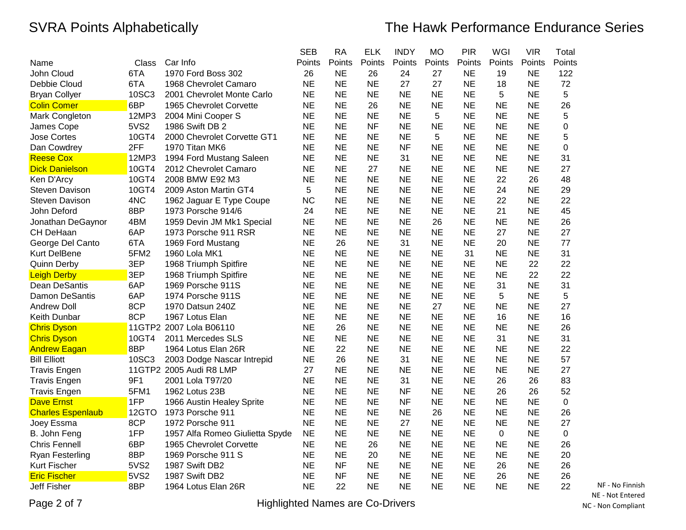|                          |             |                                 | <b>SEB</b> | <b>RA</b> | <b>ELK</b> | <b>INDY</b> | <b>MO</b> | <b>PIR</b> | WGI       | <b>VIR</b> | Total     |
|--------------------------|-------------|---------------------------------|------------|-----------|------------|-------------|-----------|------------|-----------|------------|-----------|
| Name                     | Class       | Car Info                        | Points     | Points    | Points     | Points      | Points    | Points     | Points    | Points     | Points    |
| John Cloud               | 6TA         | 1970 Ford Boss 302              | 26         | <b>NE</b> | 26         | 24          | 27        | <b>NE</b>  | 19        | <b>NE</b>  | 122       |
| Debbie Cloud             | 6TA         | 1968 Chevrolet Camaro           | <b>NE</b>  | <b>NE</b> | <b>NE</b>  | 27          | 27        | <b>NE</b>  | 18        | <b>NE</b>  | 72        |
| <b>Bryan Collyer</b>     | 10SC3       | 2001 Chevrolet Monte Carlo      | <b>NE</b>  | <b>NE</b> | <b>NE</b>  | <b>NE</b>   | <b>NE</b> | <b>NE</b>  | 5         | <b>NE</b>  | 5         |
| <b>Colin Comer</b>       | 6BP         | 1965 Chevrolet Corvette         | <b>NE</b>  | <b>NE</b> | 26         | <b>NE</b>   | <b>NE</b> | <b>NE</b>  | <b>NE</b> | <b>NE</b>  | 26        |
| Mark Congleton           | 12MP3       | 2004 Mini Cooper S              | <b>NE</b>  | <b>NE</b> | <b>NE</b>  | NE          | 5         | <b>NE</b>  | <b>NE</b> | <b>NE</b>  | 5         |
| James Cope               | 5VS2        | 1986 Swift DB 2                 | <b>NE</b>  | <b>NE</b> | <b>NF</b>  | <b>NE</b>   | <b>NE</b> | <b>NE</b>  | <b>NE</b> | ΝE         | 0         |
| <b>Jose Cortes</b>       | 10GT4       | 2000 Chevrolet Corvette GT1     | <b>NE</b>  | <b>NE</b> | <b>NE</b>  | <b>NE</b>   | 5         | <b>NE</b>  | <b>NE</b> | <b>NE</b>  | 5         |
| Dan Cowdrey              | 2FF         | 1970 Titan MK6                  | <b>NE</b>  | <b>NE</b> | <b>NE</b>  | <b>NF</b>   | <b>NE</b> | <b>NE</b>  | <b>NE</b> | <b>NE</b>  | 0         |
| <b>Reese Cox</b>         | 12MP3       | 1994 Ford Mustang Saleen        | <b>NE</b>  | <b>NE</b> | <b>NE</b>  | 31          | <b>NE</b> | <b>NE</b>  | <b>NE</b> | <b>NE</b>  | 31        |
| <b>Dick Danielson</b>    | 10GT4       | 2012 Chevrolet Camaro           | <b>NE</b>  | <b>NE</b> | 27         | NE          | <b>NE</b> | <b>NE</b>  | <b>NE</b> | <b>NE</b>  | 27        |
| Ken D'Arcy               | 10GT4       | 2008 BMW E92 M3                 | <b>NE</b>  | <b>NE</b> | <b>NE</b>  | <b>NE</b>   | <b>NE</b> | <b>NE</b>  | 22        | 26         | 48        |
| <b>Steven Davison</b>    | 10GT4       | 2009 Aston Martin GT4           | 5          | <b>NE</b> | <b>NE</b>  | <b>NE</b>   | <b>NE</b> | <b>NE</b>  | 24        | <b>NE</b>  | 29        |
| <b>Steven Davison</b>    | 4NC         | 1962 Jaguar E Type Coupe        | <b>NC</b>  | <b>NE</b> | <b>NE</b>  | <b>NE</b>   | <b>NE</b> | <b>NE</b>  | 22        | <b>NE</b>  | 22        |
| John Deford              | 8BP         | 1973 Porsche 914/6              | 24         | <b>NE</b> | <b>NE</b>  | NE          | <b>NE</b> | <b>NE</b>  | 21        | <b>NE</b>  | 45        |
| Jonathan DeGaynor        | 4BM         | 1959 Devin JM Mk1 Special       | <b>NE</b>  | <b>NE</b> | <b>NE</b>  | NE          | 26        | <b>NE</b>  | NE        | <b>NE</b>  | 26        |
| CH DeHaan                | 6AP         | 1973 Porsche 911 RSR            | <b>NE</b>  | <b>NE</b> | <b>NE</b>  | <b>NE</b>   | <b>NE</b> | <b>NE</b>  | 27        | <b>NE</b>  | 27        |
| George Del Canto         | 6TA         | 1969 Ford Mustang               | <b>NE</b>  | 26        | <b>NE</b>  | 31          | <b>NE</b> | <b>NE</b>  | 20        | <b>NE</b>  | 77        |
| Kurt DelBene             | 5FM2        | 1960 Lola MK1                   | <b>NE</b>  | <b>NE</b> | <b>NE</b>  | <b>NE</b>   | <b>NE</b> | 31         | <b>NE</b> | <b>NE</b>  | 31        |
| <b>Quinn Derby</b>       | 3EP         | 1968 Triumph Spitfire           | <b>NE</b>  | <b>NE</b> | <b>NE</b>  | <b>NE</b>   | <b>NE</b> | <b>NE</b>  | <b>NE</b> | 22         | 22        |
| <b>Leigh Derby</b>       | 3EP         | 1968 Triumph Spitfire           | <b>NE</b>  | <b>NE</b> | <b>NE</b>  | <b>NE</b>   | <b>NE</b> | <b>NE</b>  | <b>NE</b> | 22         | 22        |
| Dean DeSantis            | 6AP         | 1969 Porsche 911S               | <b>NE</b>  | <b>NE</b> | <b>NE</b>  | <b>NE</b>   | <b>NE</b> | <b>NE</b>  | 31        | <b>NE</b>  | 31        |
| Damon DeSantis           | 6AP         | 1974 Porsche 911S               | <b>NE</b>  | <b>NE</b> | <b>NE</b>  | <b>NE</b>   | <b>NE</b> | <b>NE</b>  | 5         | <b>NE</b>  | 5         |
| <b>Andrew Doll</b>       | 8CP         | 1970 Datsun 240Z                | <b>NE</b>  | <b>NE</b> | <b>NE</b>  | NE          | 27        | <b>NE</b>  | <b>NE</b> | <b>NE</b>  | 27        |
| Keith Dunbar             | 8CP         | 1967 Lotus Elan                 | <b>NE</b>  | <b>NE</b> | <b>NE</b>  | <b>NE</b>   | NE        | <b>NE</b>  | 16        | <b>NE</b>  | 16        |
| <b>Chris Dyson</b>       |             | 11GTP2 2007 Lola B06110         | <b>NE</b>  | 26        | <b>NE</b>  | <b>NE</b>   | <b>NE</b> | <b>NE</b>  | <b>NE</b> | <b>NE</b>  | 26        |
| <b>Chris Dyson</b>       | 10GT4       | 2011 Mercedes SLS               | <b>NE</b>  | <b>NE</b> | <b>NE</b>  | <b>NE</b>   | <b>NE</b> | <b>NE</b>  | 31        | <b>NE</b>  | 31        |
| <b>Andrew Eagan</b>      | 8BP         | 1964 Lotus Elan 26R             | <b>NE</b>  | 22        | <b>NE</b>  | <b>NE</b>   | <b>NE</b> | <b>NE</b>  | <b>NE</b> | <b>NE</b>  | 22        |
| <b>Bill Elliott</b>      | 10SC3       | 2003 Dodge Nascar Intrepid      | <b>NE</b>  | 26        | <b>NE</b>  | 31          | <b>NE</b> | <b>NE</b>  | <b>NE</b> | <b>NE</b>  | 57        |
| <b>Travis Engen</b>      |             | 11GTP2 2005 Audi R8 LMP         | 27         | <b>NE</b> | <b>NE</b>  | <b>NE</b>   | <b>NE</b> | <b>NE</b>  | <b>NE</b> | <b>NE</b>  | 27        |
| <b>Travis Engen</b>      | 9F1         | 2001 Lola T97/20                | <b>NE</b>  | <b>NE</b> | <b>NE</b>  | 31          | <b>NE</b> | <b>NE</b>  | 26        | 26         | 83        |
| <b>Travis Engen</b>      | 5FM1        | 1962 Lotus 23B                  | <b>NE</b>  | <b>NE</b> | <b>NE</b>  | ΝF          | <b>NE</b> | <b>NE</b>  | 26        | 26         | 52        |
| <b>Dave Ernst</b>        | 1FP         | 1966 Austin Healey Sprite       | <b>NE</b>  | <b>NE</b> | <b>NE</b>  | <b>NF</b>   | <b>NE</b> | <b>NE</b>  | <b>NE</b> | <b>NE</b>  | 0         |
| <b>Charles Espenlaub</b> | 12GTO       | 1973 Porsche 911                | <b>NE</b>  | <b>NE</b> | <b>NE</b>  | NE          | 26        | <b>NE</b>  | <b>NE</b> | <b>NE</b>  | 26        |
| Joey Essma               | 8CP         | 1972 Porsche 911                | <b>NE</b>  | <b>NE</b> | <b>NE</b>  | 27          | <b>NE</b> | <b>NE</b>  | <b>NE</b> | <b>NE</b>  | 27        |
| B. John Feng             | 1FP         | 1957 Alfa Romeo Giulietta Spyde | <b>NE</b>  | <b>NE</b> | <b>NE</b>  | <b>NE</b>   | <b>NE</b> | <b>NE</b>  | 0         | <b>NE</b>  | $\pmb{0}$ |
| <b>Chris Fennell</b>     | 6BP         | 1965 Chevrolet Corvette         | <b>NE</b>  | <b>NE</b> | 26         | <b>NE</b>   | <b>NE</b> | <b>NE</b>  | <b>NE</b> | <b>NE</b>  | 26        |
| Ryan Festerling          | 8BP         | 1969 Porsche 911 S              | <b>NE</b>  | <b>NE</b> | 20         | <b>NE</b>   | <b>NE</b> | <b>NE</b>  | <b>NE</b> | <b>NE</b>  | 20        |
| <b>Kurt Fischer</b>      | 5VS2        | 1987 Swift DB2                  | <b>NE</b>  | <b>NF</b> | <b>NE</b>  | <b>NE</b>   | <b>NE</b> | <b>NE</b>  | 26        | <b>NE</b>  | 26        |
| <b>Eric Fischer</b>      | <b>5VS2</b> | 1987 Swift DB2                  | <b>NE</b>  | <b>NF</b> | <b>NE</b>  | <b>NE</b>   | <b>NE</b> | <b>NE</b>  | 26        | <b>NE</b>  | 26        |
| Jeff Fisher              | 8BP         | 1964 Lotus Elan 26R             | <b>NE</b>  | 22        | <b>NE</b>  | <b>NE</b>   | <b>NE</b> | <b>NE</b>  | <b>NE</b> | <b>NE</b>  | 22        |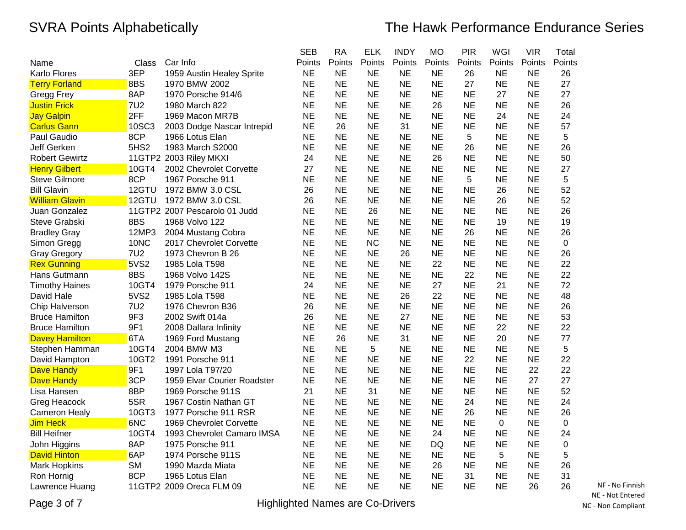|                       |              |                               | <b>SEB</b> | <b>RA</b> | <b>ELK</b> | <b>INDY</b> | <b>MO</b> | PIR       | WGI       | <b>VIR</b> | Total       |
|-----------------------|--------------|-------------------------------|------------|-----------|------------|-------------|-----------|-----------|-----------|------------|-------------|
| Name                  | <b>Class</b> | Car Info                      | Points     | Points    | Points     | Points      | Points    | Points    | Points    | Points     | Points      |
| <b>Karlo Flores</b>   | 3EP          | 1959 Austin Healey Sprite     | <b>NE</b>  | <b>NE</b> | <b>NE</b>  | <b>NE</b>   | NE        | 26        | <b>NE</b> | <b>NE</b>  | 26          |
| <b>Terry Forland</b>  | 8BS          | 1970 BMW 2002                 | <b>NE</b>  | <b>NE</b> | <b>NE</b>  | <b>NE</b>   | <b>NE</b> | 27        | <b>NE</b> | <b>NE</b>  | 27          |
| Gregg Frey            | 8AP          | 1970 Porsche 914/6            | <b>NE</b>  | <b>NE</b> | <b>NE</b>  | <b>NE</b>   | <b>NE</b> | <b>NE</b> | 27        | <b>NE</b>  | 27          |
| <b>Justin Frick</b>   | <b>7U2</b>   | 1980 March 822                | <b>NE</b>  | <b>NE</b> | <b>NE</b>  | <b>NE</b>   | 26        | <b>NE</b> | <b>NE</b> | <b>NE</b>  | 26          |
| <b>Jay Galpin</b>     | 2FF          | 1969 Macon MR7B               | <b>NE</b>  | <b>NE</b> | <b>NE</b>  | <b>NE</b>   | <b>NE</b> | <b>NE</b> | 24        | <b>NE</b>  | 24          |
| <b>Carlus Gann</b>    | 10SC3        | 2003 Dodge Nascar Intrepid    | <b>NE</b>  | 26        | <b>NE</b>  | 31          | <b>NE</b> | <b>NE</b> | <b>NE</b> | NE         | 57          |
| Paul Gaudio           | 8CP          | 1966 Lotus Elan               | <b>NE</b>  | <b>NE</b> | <b>NE</b>  | <b>NE</b>   | <b>NE</b> | 5         | <b>NE</b> | <b>NE</b>  | 5           |
| Jeff Gerken           | 5HS2         | 1983 March S2000              | <b>NE</b>  | <b>NE</b> | <b>NE</b>  | <b>NE</b>   | <b>NE</b> | 26        | <b>NE</b> | <b>NE</b>  | 26          |
| <b>Robert Gewirtz</b> |              | 11GTP2 2003 Riley MKXI        | 24         | <b>NE</b> | <b>NE</b>  | <b>NE</b>   | 26        | <b>NE</b> | <b>NE</b> | <b>NE</b>  | 50          |
| <b>Henry Gilbert</b>  | 10GT4        | 2002 Chevrolet Corvette       | 27         | <b>NE</b> | <b>NE</b>  | <b>NE</b>   | <b>NE</b> | <b>NE</b> | <b>NE</b> | <b>NE</b>  | 27          |
| <b>Steve Gilmore</b>  | 8CP          | 1967 Porsche 911              | <b>NE</b>  | <b>NE</b> | <b>NE</b>  | <b>NE</b>   | <b>NE</b> | 5         | <b>NE</b> | <b>NE</b>  | 5           |
| <b>Bill Glavin</b>    | 12GTU        | 1972 BMW 3.0 CSL              | 26         | <b>NE</b> | <b>NE</b>  | <b>NE</b>   | <b>NE</b> | <b>NE</b> | 26        | <b>NE</b>  | 52          |
| <b>William Glavin</b> | 12GTU        | 1972 BMW 3.0 CSL              | 26         | <b>NE</b> | <b>NE</b>  | <b>NE</b>   | <b>NE</b> | <b>NE</b> | 26        | <b>NE</b>  | 52          |
| Juan Gonzalez         |              | 11GTP2 2007 Pescarolo 01 Judd | <b>NE</b>  | <b>NE</b> | 26         | <b>NE</b>   | <b>NE</b> | <b>NE</b> | <b>NE</b> | <b>NE</b>  | 26          |
| Steve Grabski         | 8BS          | 1968 Volvo 122                | <b>NE</b>  | <b>NE</b> | <b>NE</b>  | <b>NE</b>   | <b>NE</b> | <b>NE</b> | 19        | <b>NE</b>  | 19          |
| <b>Bradley Gray</b>   | 12MP3        | 2004 Mustang Cobra            | <b>NE</b>  | <b>NE</b> | <b>NE</b>  | <b>NE</b>   | <b>NE</b> | 26        | <b>NE</b> | <b>NE</b>  | 26          |
| Simon Gregg           | 10NC         | 2017 Chevrolet Corvette       | <b>NE</b>  | <b>NE</b> | <b>NC</b>  | <b>NE</b>   | <b>NE</b> | <b>NE</b> | <b>NE</b> | <b>NE</b>  | $\mathbf 0$ |
| <b>Gray Gregory</b>   | <b>7U2</b>   | 1973 Chevron B 26             | <b>NE</b>  | <b>NE</b> | <b>NE</b>  | 26          | <b>NE</b> | <b>NE</b> | <b>NE</b> | <b>NE</b>  | 26          |
| <b>Rex Gunning</b>    | 5VS2         | 1985 Lola T598                | <b>NE</b>  | <b>NE</b> | <b>NE</b>  | <b>NE</b>   | 22        | <b>NE</b> | <b>NE</b> | <b>NE</b>  | 22          |
| Hans Gutmann          | 8BS          | 1968 Volvo 142S               | <b>NE</b>  | <b>NE</b> | <b>NE</b>  | <b>NE</b>   | <b>NE</b> | 22        | <b>NE</b> | <b>NE</b>  | 22          |
| <b>Timothy Haines</b> | 10GT4        | 1979 Porsche 911              | 24         | <b>NE</b> | <b>NE</b>  | <b>NE</b>   | 27        | <b>NE</b> | 21        | <b>NE</b>  | 72          |
| David Hale            | 5VS2         | 1985 Lola T598                | <b>NE</b>  | <b>NE</b> | <b>NE</b>  | 26          | 22        | <b>NE</b> | <b>NE</b> | <b>NE</b>  | 48          |
| Chip Halverson        | <b>7U2</b>   | 1976 Chevron B36              | 26         | <b>NE</b> | <b>NE</b>  | <b>NE</b>   | <b>NE</b> | <b>NE</b> | <b>NE</b> | <b>NE</b>  | 26          |
| <b>Bruce Hamilton</b> | 9F3          | 2002 Swift 014a               | 26         | <b>NE</b> | <b>NE</b>  | 27          | NE        | ΝE        | <b>NE</b> | <b>NE</b>  | 53          |
| <b>Bruce Hamilton</b> | 9F1          | 2008 Dallara Infinity         | <b>NE</b>  | <b>NE</b> | <b>NE</b>  | <b>NE</b>   | <b>NE</b> | <b>NE</b> | 22        | <b>NE</b>  | 22          |
| <b>Davey Hamilton</b> | 6TA          | 1969 Ford Mustang             | <b>NE</b>  | 26        | <b>NE</b>  | 31          | <b>NE</b> | <b>NE</b> | 20        | <b>NE</b>  | 77          |
| Stephen Hamman        | 10GT4        | 2004 BMW M3                   | <b>NE</b>  | <b>NE</b> | 5          | <b>NE</b>   | <b>NE</b> | <b>NE</b> | <b>NE</b> | <b>NE</b>  | 5           |
| David Hampton         | 10GT2        | 1991 Porsche 911              | <b>NE</b>  | <b>NE</b> | <b>NE</b>  | <b>NE</b>   | <b>NE</b> | 22        | <b>NE</b> | <b>NE</b>  | 22          |
| <b>Dave Handy</b>     | 9F1          | 1997 Lola T97/20              | <b>NE</b>  | <b>NE</b> | <b>NE</b>  | <b>NE</b>   | <b>NE</b> | <b>NE</b> | <b>NE</b> | 22         | 22          |
| <b>Dave Handy</b>     | 3CP          | 1959 Elvar Courier Roadster   | <b>NE</b>  | <b>NE</b> | <b>NE</b>  | <b>NE</b>   | <b>NE</b> | <b>NE</b> | <b>NE</b> | 27         | 27          |
| Lisa Hansen           | 8BP          | 1969 Porsche 911S             | 21         | <b>NE</b> | 31         | <b>NE</b>   | <b>NE</b> | <b>NE</b> | <b>NE</b> | <b>NE</b>  | 52          |
| Greg Heacock          | 5SR          | 1967 Costin Nathan GT         | NE         | <b>NE</b> | NE         | <b>NE</b>   | NE        | 24        | <b>NE</b> | <b>NE</b>  | 24          |
| <b>Cameron Healy</b>  | 10GT3        | 1977 Porsche 911 RSR          | <b>NE</b>  | <b>NE</b> | <b>NE</b>  | <b>NE</b>   | <b>NE</b> | 26        | <b>NE</b> | <b>NE</b>  | 26          |
| Jim Heck              | 6NC          | 1969 Chevrolet Corvette       | <b>NE</b>  | <b>NE</b> | <b>NE</b>  | <b>NE</b>   | <b>NE</b> | <b>NE</b> | 0         | <b>NE</b>  | 0           |
| <b>Bill Heifner</b>   | 10GT4        | 1993 Chevrolet Camaro IMSA    | <b>NE</b>  | <b>NE</b> | <b>NE</b>  | <b>NE</b>   | 24        | <b>NE</b> | <b>NE</b> | <b>NE</b>  | 24          |
| John Higgins          | 8AP          | 1975 Porsche 911              | <b>NE</b>  | <b>NE</b> | <b>NE</b>  | <b>NE</b>   | <b>DQ</b> | <b>NE</b> | <b>NE</b> | <b>NE</b>  | $\pmb{0}$   |
| <b>David Hinton</b>   | 6AP          | 1974 Porsche 911S             | <b>NE</b>  | <b>NE</b> | <b>NE</b>  | <b>NE</b>   | <b>NE</b> | <b>NE</b> | 5         | <b>NE</b>  | 5           |
| Mark Hopkins          | <b>SM</b>    | 1990 Mazda Miata              | <b>NE</b>  | <b>NE</b> | <b>NE</b>  | <b>NE</b>   | 26        | <b>NE</b> | <b>NE</b> | <b>NE</b>  | 26          |
| Ron Hornig            | 8CP          | 1965 Lotus Elan               | <b>NE</b>  | <b>NE</b> | <b>NE</b>  | <b>NE</b>   | <b>NE</b> | 31        | <b>NE</b> | <b>NE</b>  | 31          |
| Lawrence Huang        |              | 11GTP2 2009 Oreca FLM 09      | <b>NE</b>  | <b>NE</b> | <b>NE</b>  | <b>NE</b>   | <b>NE</b> | <b>NE</b> | <b>NE</b> | 26         | 26          |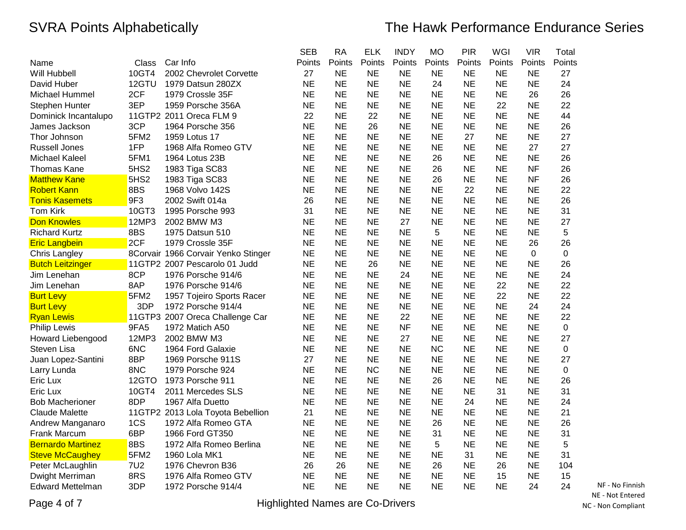|                          |                  |                                     | <b>SEB</b> | <b>RA</b> | <b>ELK</b> | <b>INDY</b> | <b>MO</b> | <b>PIR</b> | WGI       | <b>VIR</b>  | Total       |
|--------------------------|------------------|-------------------------------------|------------|-----------|------------|-------------|-----------|------------|-----------|-------------|-------------|
| Name                     | Class            | Car Info                            | Points     | Points    | Points     | Points      | Points    | Points     | Points    | Points      | Points      |
| Will Hubbell             | 10GT4            | 2002 Chevrolet Corvette             | 27         | <b>NE</b> | <b>NE</b>  | <b>NE</b>   | NE        | NE         | <b>NE</b> | <b>NE</b>   | 27          |
| David Huber              | 12GTU            | 1979 Datsun 280ZX                   | <b>NE</b>  | <b>NE</b> | <b>NE</b>  | <b>NE</b>   | 24        | <b>NE</b>  | <b>NE</b> | <b>NE</b>   | 24          |
| Michael Hummel           | 2CF              | 1979 Crossle 35F                    | <b>NE</b>  | <b>NE</b> | <b>NE</b>  | <b>NE</b>   | <b>NE</b> | <b>NE</b>  | <b>NE</b> | 26          | 26          |
| Stephen Hunter           | 3EP              | 1959 Porsche 356A                   | <b>NE</b>  | <b>NE</b> | <b>NE</b>  | <b>NE</b>   | <b>NE</b> | <b>NE</b>  | 22        | <b>NE</b>   | 22          |
| Dominick Incantalupo     |                  | 11GTP2 2011 Oreca FLM 9             | 22         | <b>NE</b> | 22         | <b>NE</b>   | <b>NE</b> | <b>NE</b>  | <b>NE</b> | <b>NE</b>   | 44          |
| James Jackson            | 3CP              | 1964 Porsche 356                    | <b>NE</b>  | <b>NE</b> | 26         | <b>NE</b>   | NE        | <b>NE</b>  | <b>NE</b> | <b>NE</b>   | 26          |
| Thor Johnson             | 5FM2             | 1959 Lotus 17                       | <b>NE</b>  | <b>NE</b> | <b>NE</b>  | <b>NE</b>   | <b>NE</b> | 27         | <b>NE</b> | <b>NE</b>   | 27          |
| <b>Russell Jones</b>     | 1FP              | 1968 Alfa Romeo GTV                 | <b>NE</b>  | <b>NE</b> | <b>NE</b>  | <b>NE</b>   | <b>NE</b> | <b>NE</b>  | <b>NE</b> | 27          | 27          |
| <b>Michael Kaleel</b>    | 5FM1             | 1964 Lotus 23B                      | <b>NE</b>  | <b>NE</b> | <b>NE</b>  | <b>NE</b>   | 26        | <b>NE</b>  | <b>NE</b> | <b>NE</b>   | 26          |
| Thomas Kane              | 5HS <sub>2</sub> | 1983 Tiga SC83                      | <b>NE</b>  | <b>NE</b> | <b>NE</b>  | <b>NE</b>   | 26        | <b>NE</b>  | <b>NE</b> | <b>NF</b>   | 26          |
| <b>Matthew Kane</b>      | 5HS <sub>2</sub> | 1983 Tiga SC83                      | <b>NE</b>  | <b>NE</b> | <b>NE</b>  | <b>NE</b>   | 26        | <b>NE</b>  | <b>NE</b> | <b>NF</b>   | 26          |
| <b>Robert Kann</b>       | 8BS              | 1968 Volvo 142S                     | <b>NE</b>  | <b>NE</b> | <b>NE</b>  | <b>NE</b>   | <b>NE</b> | 22         | <b>NE</b> | <b>NE</b>   | 22          |
| <b>Tonis Kasemets</b>    | 9F3              | 2002 Swift 014a                     | 26         | <b>NE</b> | <b>NE</b>  | <b>NE</b>   | <b>NE</b> | <b>NE</b>  | <b>NE</b> | <b>NE</b>   | 26          |
| <b>Tom Kirk</b>          | 10GT3            | 1995 Porsche 993                    | 31         | <b>NE</b> | <b>NE</b>  | <b>NE</b>   | <b>NE</b> | <b>NE</b>  | <b>NE</b> | <b>NE</b>   | 31          |
| <b>Don Knowles</b>       | 12MP3            | 2002 BMW M3                         | NE         | <b>NE</b> | <b>NE</b>  | 27          | <b>NE</b> | <b>NE</b>  | <b>NE</b> | <b>NE</b>   | 27          |
| <b>Richard Kurtz</b>     | 8BS              | 1975 Datsun 510                     | <b>NE</b>  | <b>NE</b> | <b>NE</b>  | <b>NE</b>   | 5         | <b>NE</b>  | <b>NE</b> | <b>NE</b>   | 5           |
| <b>Eric Langbein</b>     | 2CF              | 1979 Crossle 35F                    | <b>NE</b>  | <b>NE</b> | <b>NE</b>  | <b>NE</b>   | <b>NE</b> | <b>NE</b>  | <b>NE</b> | 26          | 26          |
| Chris Langley            |                  | 8Corvair 1966 Corvair Yenko Stinger | <b>NE</b>  | <b>NE</b> | <b>NE</b>  | <b>NE</b>   | <b>NE</b> | <b>NE</b>  | <b>NE</b> | $\mathbf 0$ | $\mathbf 0$ |
| <b>Butch Leitzinger</b>  |                  | 11GTP2 2007 Pescarolo 01 Judd       | <b>NE</b>  | <b>NE</b> | 26         | <b>NE</b>   | <b>NE</b> | <b>NE</b>  | <b>NE</b> | <b>NE</b>   | 26          |
| Jim Lenehan              | 8CP              | 1976 Porsche 914/6                  | <b>NE</b>  | <b>NE</b> | <b>NE</b>  | 24          | <b>NE</b> | <b>NE</b>  | <b>NE</b> | <b>NE</b>   | 24          |
| Jim Lenehan              | 8AP              | 1976 Porsche 914/6                  | <b>NE</b>  | <b>NE</b> | <b>NE</b>  | <b>NE</b>   | <b>NE</b> | <b>NE</b>  | 22        | <b>NE</b>   | 22          |
| <b>Burt Levy</b>         | 5FM2             | 1957 Tojeiro Sports Racer           | <b>NE</b>  | <b>NE</b> | <b>NE</b>  | <b>NE</b>   | <b>NE</b> | <b>NE</b>  | 22        | <b>NE</b>   | 22          |
| <b>Burt Levy</b>         | 3DP              | 1972 Porsche 914/4                  | <b>NE</b>  | <b>NE</b> | <b>NE</b>  | <b>NE</b>   | <b>NE</b> | <b>NE</b>  | <b>NE</b> | 24          | 24          |
| <b>Ryan Lewis</b>        |                  | 11GTP3 2007 Oreca Challenge Car     | <b>NE</b>  | <b>NE</b> | <b>NE</b>  | 22          | <b>NE</b> | <b>NE</b>  | <b>NE</b> | <b>NE</b>   | 22          |
| <b>Philip Lewis</b>      | 9FA5             | 1972 Matich A50                     | <b>NE</b>  | <b>NE</b> | <b>NE</b>  | <b>NF</b>   | <b>NE</b> | <b>NE</b>  | <b>NE</b> | <b>NE</b>   | 0           |
| Howard Liebengood        | 12MP3            | 2002 BMW M3                         | <b>NE</b>  | <b>NE</b> | <b>NE</b>  | 27          | <b>NE</b> | <b>NE</b>  | <b>NE</b> | <b>NE</b>   | 27          |
| Steven Lisa              | 6NC              | 1964 Ford Galaxie                   | <b>NE</b>  | <b>NE</b> | <b>NE</b>  | <b>NE</b>   | <b>NC</b> | <b>NE</b>  | <b>NE</b> | <b>NE</b>   | $\mathbf 0$ |
| Juan Lopez-Santini       | 8BP              | 1969 Porsche 911S                   | 27         | <b>NE</b> | <b>NE</b>  | <b>NE</b>   | <b>NE</b> | <b>NE</b>  | <b>NE</b> | <b>NE</b>   | 27          |
| Larry Lunda              | 8NC              | 1979 Porsche 924                    | <b>NE</b>  | <b>NE</b> | <b>NC</b>  | <b>NE</b>   | <b>NE</b> | <b>NE</b>  | <b>NE</b> | <b>NE</b>   | $\mathbf 0$ |
| Eric Lux                 | 12GTO            | 1973 Porsche 911                    | <b>NE</b>  | <b>NE</b> | <b>NE</b>  | <b>NE</b>   | 26        | <b>NE</b>  | <b>NE</b> | <b>NE</b>   | 26          |
| Eric Lux                 | 10GT4            | 2011 Mercedes SLS                   | <b>NE</b>  | <b>NE</b> | <b>NE</b>  | <b>NE</b>   | <b>NE</b> | <b>NE</b>  | 31        | <b>NE</b>   | 31          |
| <b>Bob Macherioner</b>   | 8DP              | 1967 Alfa Duetto                    | <b>NE</b>  | <b>NE</b> | <b>NE</b>  | <b>NE</b>   | <b>NE</b> | 24         | <b>NE</b> | <b>NE</b>   | 24          |
| Claude Malette           |                  | 11GTP2 2013 Lola Toyota Bebellion   | 21         | <b>NE</b> | <b>NE</b>  | <b>NE</b>   | <b>NE</b> | NE         | <b>NE</b> | <b>NE</b>   | 21          |
| Andrew Manganaro         | 1CS              | 1972 Alfa Romeo GTA                 | <b>NE</b>  | <b>NE</b> | <b>NE</b>  | <b>NE</b>   | 26        | <b>NE</b>  | <b>NE</b> | <b>NE</b>   | 26          |
| Frank Marcum             | 6BP              | 1966 Ford GT350                     | <b>NE</b>  | <b>NE</b> | <b>NE</b>  | <b>NE</b>   | 31        | <b>NE</b>  | <b>NE</b> | <b>NE</b>   | 31          |
| <b>Bernardo Martinez</b> | 8BS              | 1972 Alfa Romeo Berlina             | <b>NE</b>  | <b>NE</b> | <b>NE</b>  | <b>NE</b>   | 5         | <b>NE</b>  | <b>NE</b> | <b>NE</b>   | 5           |
| <b>Steve McCaughey</b>   | 5FM <sub>2</sub> | 1960 Lola MK1                       | <b>NE</b>  | <b>NE</b> | <b>NE</b>  | <b>NE</b>   | NE        | 31         | <b>NE</b> | <b>NE</b>   | 31          |
| Peter McLaughlin         | <b>7U2</b>       | 1976 Chevron B36                    | 26         | 26        | <b>NE</b>  | <b>NE</b>   | 26        | <b>NE</b>  | 26        | <b>NE</b>   | 104         |
| Dwight Merriman          | 8RS              | 1976 Alfa Romeo GTV                 | <b>NE</b>  | <b>NE</b> | <b>NE</b>  | <b>NE</b>   | <b>NE</b> | <b>NE</b>  | 15        | <b>NE</b>   | 15          |
| Edward Mettelman         | 3DP              | 1972 Porsche 914/4                  | <b>NE</b>  | <b>NE</b> | <b>NE</b>  | <b>NE</b>   | <b>NE</b> | <b>NE</b>  | <b>NE</b> | 24          | 24          |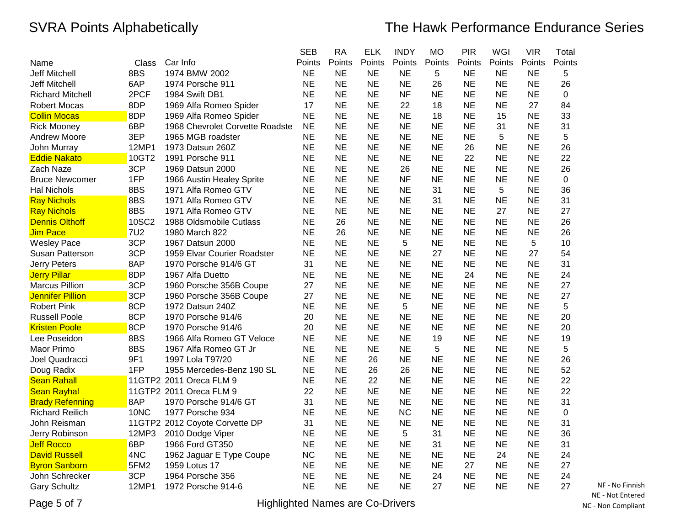|                         |            |                                 | <b>SEB</b> | <b>RA</b> | <b>ELK</b> | <b>INDY</b> | МO        | <b>PIR</b> | WGI       | <b>VIR</b> | Total     |
|-------------------------|------------|---------------------------------|------------|-----------|------------|-------------|-----------|------------|-----------|------------|-----------|
| Name                    | Class      | Car Info                        | Points     | Points    | Points     | Points      | Points    | Points     | Points    | Points     | Points    |
| <b>Jeff Mitchell</b>    | 8BS        | 1974 BMW 2002                   | <b>NE</b>  | <b>NE</b> | <b>NE</b>  | <b>NE</b>   | 5         | <b>NE</b>  | <b>NE</b> | <b>NE</b>  | 5         |
| <b>Jeff Mitchell</b>    | 6AP        | 1974 Porsche 911                | <b>NE</b>  | <b>NE</b> | <b>NE</b>  | <b>NE</b>   | 26        | <b>NE</b>  | <b>NE</b> | <b>NE</b>  | 26        |
| <b>Richard Mitchell</b> | 2PCF       | 1984 Swift DB1                  | <b>NE</b>  | <b>NE</b> | <b>NE</b>  | <b>NF</b>   | NE        | <b>NE</b>  | <b>NE</b> | <b>NE</b>  | $\pmb{0}$ |
| Robert Mocas            | 8DP        | 1969 Alfa Romeo Spider          | 17         | <b>NE</b> | <b>NE</b>  | 22          | 18        | <b>NE</b>  | <b>NE</b> | 27         | 84        |
| <b>Collin Mocas</b>     | 8DP        | 1969 Alfa Romeo Spider          | <b>NE</b>  | <b>NE</b> | <b>NE</b>  | <b>NE</b>   | 18        | <b>NE</b>  | 15        | <b>NE</b>  | 33        |
| <b>Rick Mooney</b>      | 6BP        | 1968 Chevrolet Corvette Roadste | <b>NE</b>  | <b>NE</b> | <b>NE</b>  | <b>NE</b>   | NE        | <b>NE</b>  | 31        | <b>NE</b>  | 31        |
| Andrew Moore            | 3EP        | 1965 MGB roadster               | <b>NE</b>  | <b>NE</b> | <b>NE</b>  | <b>NE</b>   | <b>NE</b> | <b>NE</b>  | 5         | <b>NE</b>  | 5         |
| John Murray             | 12MP1      | 1973 Datsun 260Z                | <b>NE</b>  | <b>NE</b> | <b>NE</b>  | <b>NE</b>   | <b>NE</b> | 26         | <b>NE</b> | <b>NE</b>  | 26        |
| <b>Eddie Nakato</b>     | 10GT2      | 1991 Porsche 911                | <b>NE</b>  | <b>NE</b> | <b>NE</b>  | <b>NE</b>   | <b>NE</b> | 22         | <b>NE</b> | <b>NE</b>  | 22        |
| Zach Naze               | 3CP        | 1969 Datsun 2000                | <b>NE</b>  | <b>NE</b> | <b>NE</b>  | 26          | <b>NE</b> | <b>NE</b>  | <b>NE</b> | <b>NE</b>  | 26        |
| <b>Bruce Newcomer</b>   | 1FP        | 1966 Austin Healey Sprite       | <b>NE</b>  | <b>NE</b> | <b>NE</b>  | <b>NF</b>   | <b>NE</b> | <b>NE</b>  | <b>NE</b> | <b>NE</b>  | 0         |
| <b>Hal Nichols</b>      | 8BS        | 1971 Alfa Romeo GTV             | <b>NE</b>  | <b>NE</b> | <b>NE</b>  | <b>NE</b>   | 31        | <b>NE</b>  | 5         | <b>NE</b>  | 36        |
| <b>Ray Nichols</b>      | 8BS        | 1971 Alfa Romeo GTV             | <b>NE</b>  | <b>NE</b> | <b>NE</b>  | <b>NE</b>   | 31        | <b>NE</b>  | <b>NE</b> | <b>NE</b>  | 31        |
| <b>Ray Nichols</b>      | 8BS        | 1971 Alfa Romeo GTV             | <b>NE</b>  | <b>NE</b> | <b>NE</b>  | <b>NE</b>   | <b>NE</b> | <b>NE</b>  | 27        | <b>NE</b>  | 27        |
| <b>Dennis Olthoff</b>   | 10SC2      | 1988 Oldsmobile Cutlass         | <b>NE</b>  | 26        | <b>NE</b>  | <b>NE</b>   | <b>NE</b> | <b>NE</b>  | <b>NE</b> | <b>NE</b>  | 26        |
| Jim Pace                | <b>7U2</b> | 1980 March 822                  | <b>NE</b>  | 26        | <b>NE</b>  | <b>NE</b>   | <b>NE</b> | <b>NE</b>  | <b>NE</b> | <b>NE</b>  | 26        |
| <b>Wesley Pace</b>      | 3CP        | 1967 Datsun 2000                | <b>NE</b>  | <b>NE</b> | <b>NE</b>  | 5           | <b>NE</b> | <b>NE</b>  | <b>NE</b> | 5          | 10        |
| Susan Patterson         | 3CP        | 1959 Elvar Courier Roadster     | <b>NE</b>  | <b>NE</b> | <b>NE</b>  | <b>NE</b>   | 27        | <b>NE</b>  | <b>NE</b> | 27         | 54        |
| Jerry Peters            | 8AP        | 1970 Porsche 914/6 GT           | 31         | <b>NE</b> | <b>NE</b>  | <b>NE</b>   | <b>NE</b> | <b>NE</b>  | <b>NE</b> | <b>NE</b>  | 31        |
| <b>Jerry Pillar</b>     | 8DP        | 1967 Alfa Duetto                | <b>NE</b>  | <b>NE</b> | <b>NE</b>  | <b>NE</b>   | <b>NE</b> | 24         | <b>NE</b> | <b>NE</b>  | 24        |
| <b>Marcus Pillion</b>   | 3CP        | 1960 Porsche 356B Coupe         | 27         | <b>NE</b> | <b>NE</b>  | <b>NE</b>   | <b>NE</b> | <b>NE</b>  | <b>NE</b> | <b>NE</b>  | 27        |
| <b>Jennifer Pillion</b> | 3CP        | 1960 Porsche 356B Coupe         | 27         | <b>NE</b> | <b>NE</b>  | <b>NE</b>   | <b>NE</b> | <b>NE</b>  | <b>NE</b> | <b>NE</b>  | 27        |
| <b>Robert Pink</b>      | 8CP        | 1972 Datsun 240Z                | <b>NE</b>  | <b>NE</b> | <b>NE</b>  | 5           | <b>NE</b> | <b>NE</b>  | <b>NE</b> | <b>NE</b>  | 5         |
| <b>Russell Poole</b>    | 8CP        | 1970 Porsche 914/6              | 20         | <b>NE</b> | <b>NE</b>  | <b>NE</b>   | <b>NE</b> | <b>NE</b>  | <b>NE</b> | <b>NE</b>  | 20        |
| <b>Kristen Poole</b>    | 8CP        | 1970 Porsche 914/6              | 20         | <b>NE</b> | <b>NE</b>  | <b>NE</b>   | <b>NE</b> | <b>NE</b>  | <b>NE</b> | <b>NE</b>  | 20        |
| Lee Poseidon            | 8BS        | 1966 Alfa Romeo GT Veloce       | <b>NE</b>  | <b>NE</b> | <b>NE</b>  | <b>NE</b>   | 19        | <b>NE</b>  | <b>NE</b> | <b>NE</b>  | 19        |
| Maor Primo              | 8BS        | 1967 Alfa Romeo GT Jr           | <b>NE</b>  | <b>NE</b> | <b>NE</b>  | <b>NE</b>   | 5         | <b>NE</b>  | <b>NE</b> | <b>NE</b>  | 5         |
| Joel Quadracci          | 9F1        | 1997 Lola T97/20                | <b>NE</b>  | <b>NE</b> | 26         | <b>NE</b>   | <b>NE</b> | <b>NE</b>  | <b>NE</b> | <b>NE</b>  | 26        |
| Doug Radix              | 1FP        | 1955 Mercedes-Benz 190 SL       | <b>NE</b>  | <b>NE</b> | 26         | 26          | <b>NE</b> | <b>NE</b>  | <b>NE</b> | <b>NE</b>  | 52        |
| <b>Sean Rahall</b>      |            | 11GTP2 2011 Oreca FLM 9         | <b>NE</b>  | <b>NE</b> | 22         | <b>NE</b>   | <b>NE</b> | <b>NE</b>  | <b>NE</b> | <b>NE</b>  | 22        |
| <b>Sean Rayhal</b>      |            | 11GTP2 2011 Oreca FLM 9         | 22         | <b>NE</b> | <b>NE</b>  | <b>NE</b>   | <b>NE</b> | <b>NE</b>  | <b>NE</b> | <b>NE</b>  | 22        |
| <b>Brady Refenning</b>  | 8AP        | 1970 Porsche 914/6 GT           | 31         | <b>NE</b> | <b>NE</b>  | <b>NE</b>   | <b>NE</b> | <b>NE</b>  | <b>NE</b> | <b>NE</b>  | 31        |
| <b>Richard Reilich</b>  | 10NC       | 1977 Porsche 934                | <b>NE</b>  | <b>NE</b> | <b>NE</b>  | <b>NC</b>   | <b>NE</b> | <b>NE</b>  | <b>NE</b> | <b>NE</b>  | 0         |
| John Reisman            |            | 11GTP2 2012 Coyote Corvette DP  | 31         | <b>NE</b> | <b>NE</b>  | <b>NE</b>   | <b>NE</b> | <b>NE</b>  | <b>NE</b> | <b>NE</b>  | 31        |
| Jerry Robinson          | 12MP3      | 2010 Dodge Viper                | <b>NE</b>  | <b>NE</b> | <b>NE</b>  | 5           | 31        | <b>NE</b>  | <b>NE</b> | <b>NE</b>  | 36        |
| <b>Jeff Rocco</b>       | 6BP        | 1966 Ford GT350                 | <b>NE</b>  | <b>NE</b> | <b>NE</b>  | <b>NE</b>   | 31        | <b>NE</b>  | <b>NE</b> | <b>NE</b>  | 31        |
| <b>David Russell</b>    | 4NC        | 1962 Jaguar E Type Coupe        | <b>NC</b>  | <b>NE</b> | <b>NE</b>  | <b>NE</b>   | <b>NE</b> | <b>NE</b>  | 24        | <b>NE</b>  | 24        |
| <b>Byron Sanborn</b>    | 5FM2       | 1959 Lotus 17                   | <b>NE</b>  | <b>NE</b> | <b>NE</b>  | <b>NE</b>   | <b>NE</b> | 27         | <b>NE</b> | <b>NE</b>  | 27        |
| John Schrecker          | 3CP        | 1964 Porsche 356                | <b>NE</b>  | <b>NE</b> | <b>NE</b>  | <b>NE</b>   | 24        | <b>NE</b>  | <b>NE</b> | <b>NE</b>  | 24        |
| <b>Gary Schultz</b>     | 12MP1      | 1972 Porsche 914-6              | <b>NE</b>  | <b>NE</b> | <b>NE</b>  | <b>NE</b>   | 27        | <b>NE</b>  | <b>NE</b> | <b>NE</b>  | 27        |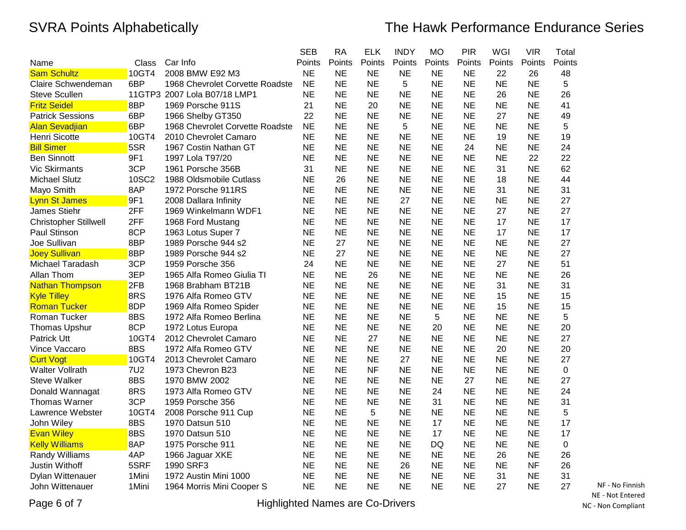|                              |        |                                 | <b>SEB</b> | <b>RA</b> | <b>ELK</b> | <b>INDY</b> | <b>MO</b> | <b>PIR</b> | <b>WGI</b> | <b>VIR</b> | Total  |
|------------------------------|--------|---------------------------------|------------|-----------|------------|-------------|-----------|------------|------------|------------|--------|
| Name                         | Class  | Car Info                        | Points     | Points    | Points     | Points      | Points    | Points     | Points     | Points     | Points |
| <b>Sam Schultz</b>           | 10GT4  | 2008 BMW E92 M3                 | <b>NE</b>  | <b>NE</b> | <b>NE</b>  | <b>NE</b>   | <b>NE</b> | <b>NE</b>  | 22         | 26         | 48     |
| Claire Schwendeman           | 6BP    | 1968 Chevrolet Corvette Roadste | <b>NE</b>  | <b>NE</b> | <b>NE</b>  | 5           | <b>NE</b> | <b>NE</b>  | <b>NE</b>  | <b>NE</b>  | 5      |
| <b>Steve Scullen</b>         |        | 11GTP3 2007 Lola B07/18 LMP1    | <b>NE</b>  | <b>NE</b> | <b>NE</b>  | <b>NE</b>   | <b>NE</b> | <b>NE</b>  | 26         | <b>NE</b>  | 26     |
| <b>Fritz Seidel</b>          | 8BP    | 1969 Porsche 911S               | 21         | <b>NE</b> | 20         | <b>NE</b>   | <b>NE</b> | <b>NE</b>  | <b>NE</b>  | <b>NE</b>  | 41     |
| <b>Patrick Sessions</b>      | 6BP    | 1966 Shelby GT350               | 22         | <b>NE</b> | <b>NE</b>  | <b>NE</b>   | <b>NE</b> | <b>NE</b>  | 27         | <b>NE</b>  | 49     |
| <b>Alan Sevadjian</b>        | 6BP    | 1968 Chevrolet Corvette Roadste | <b>NE</b>  | <b>NE</b> | <b>NE</b>  | 5           | <b>NE</b> | <b>NE</b>  | <b>NE</b>  | <b>NE</b>  | 5      |
| Henri Sicotte                | 10GT4  | 2010 Chevrolet Camaro           | <b>NE</b>  | <b>NE</b> | <b>NE</b>  | <b>NE</b>   | <b>NE</b> | <b>NE</b>  | 19         | <b>NE</b>  | 19     |
| <b>Bill Simer</b>            | 5SR    | 1967 Costin Nathan GT           | <b>NE</b>  | <b>NE</b> | <b>NE</b>  | <b>NE</b>   | <b>NE</b> | 24         | <b>NE</b>  | <b>NE</b>  | 24     |
| <b>Ben Sinnott</b>           | 9F1    | 1997 Lola T97/20                | <b>NE</b>  | <b>NE</b> | <b>NE</b>  | <b>NE</b>   | <b>NE</b> | <b>NE</b>  | <b>NE</b>  | 22         | 22     |
| <b>Vic Skirmants</b>         | 3CP    | 1961 Porsche 356B               | 31         | <b>NE</b> | <b>NE</b>  | <b>NE</b>   | <b>NE</b> | <b>NE</b>  | 31         | <b>NE</b>  | 62     |
| <b>Michael Slutz</b>         | 10SC2  | 1988 Oldsmobile Cutlass         | <b>NE</b>  | 26        | <b>NE</b>  | <b>NE</b>   | <b>NE</b> | <b>NE</b>  | 18         | <b>NE</b>  | 44     |
| Mayo Smith                   | 8AP    | 1972 Porsche 911RS              | <b>NE</b>  | <b>NE</b> | <b>NE</b>  | <b>NE</b>   | <b>NE</b> | <b>NE</b>  | 31         | <b>NE</b>  | 31     |
| <b>Lynn St James</b>         | 9F1    | 2008 Dallara Infinity           | <b>NE</b>  | <b>NE</b> | <b>NE</b>  | 27          | <b>NE</b> | <b>NE</b>  | <b>NE</b>  | <b>NE</b>  | 27     |
| James Stiehr                 | 2FF    | 1969 Winkelmann WDF1            | <b>NE</b>  | <b>NE</b> | <b>NE</b>  | <b>NE</b>   | <b>NE</b> | <b>NE</b>  | 27         | <b>NE</b>  | 27     |
| <b>Christopher Stillwell</b> | 2FF    | 1968 Ford Mustang               | <b>NE</b>  | <b>NE</b> | <b>NE</b>  | <b>NE</b>   | <b>NE</b> | <b>NE</b>  | 17         | <b>NE</b>  | 17     |
| Paul Stinson                 | 8CP    | 1963 Lotus Super 7              | <b>NE</b>  | <b>NE</b> | <b>NE</b>  | <b>NE</b>   | <b>NE</b> | <b>NE</b>  | 17         | <b>NE</b>  | 17     |
| Joe Sullivan                 | 8BP    | 1989 Porsche 944 s2             | <b>NE</b>  | 27        | <b>NE</b>  | <b>NE</b>   | <b>NE</b> | <b>NE</b>  | <b>NE</b>  | <b>NE</b>  | 27     |
| <b>Joey Sullivan</b>         | 8BP    | 1989 Porsche 944 s2             | <b>NE</b>  | 27        | <b>NE</b>  | <b>NE</b>   | <b>NE</b> | <b>NE</b>  | <b>NE</b>  | <b>NE</b>  | 27     |
| Michael Taradash             | 3CP    | 1959 Porsche 356                | 24         | <b>NE</b> | <b>NE</b>  | <b>NE</b>   | <b>NE</b> | <b>NE</b>  | 27         | <b>NE</b>  | 51     |
| Allan Thom                   | 3EP    | 1965 Alfa Romeo Giulia TI       | <b>NE</b>  | <b>NE</b> | 26         | <b>NE</b>   | <b>NE</b> | <b>NE</b>  | <b>NE</b>  | <b>NE</b>  | 26     |
| <b>Nathan Thompson</b>       | 2FB    | 1968 Brabham BT21B              | <b>NE</b>  | <b>NE</b> | <b>NE</b>  | <b>NE</b>   | <b>NE</b> | <b>NE</b>  | 31         | <b>NE</b>  | 31     |
| <b>Kyle Tilley</b>           | 8RS    | 1976 Alfa Romeo GTV             | <b>NE</b>  | <b>NE</b> | <b>NE</b>  | <b>NE</b>   | <b>NE</b> | <b>NE</b>  | 15         | <b>NE</b>  | 15     |
| <b>Roman Tucker</b>          | 8DP    | 1969 Alfa Romeo Spider          | <b>NE</b>  | <b>NE</b> | <b>NE</b>  | <b>NE</b>   | <b>NE</b> | <b>NE</b>  | 15         | <b>NE</b>  | 15     |
| Roman Tucker                 | 8BS    | 1972 Alfa Romeo Berlina         | <b>NE</b>  | <b>NE</b> | <b>NE</b>  | <b>NE</b>   | 5         | <b>NE</b>  | <b>NE</b>  | <b>NE</b>  | 5      |
| Thomas Upshur                | 8CP    | 1972 Lotus Europa               | <b>NE</b>  | <b>NE</b> | <b>NE</b>  | <b>NE</b>   | 20        | <b>NE</b>  | <b>NE</b>  | <b>NE</b>  | 20     |
| Patrick Utt                  | 10GT4  | 2012 Chevrolet Camaro           | <b>NE</b>  | <b>NE</b> | 27         | <b>NE</b>   | <b>NE</b> | <b>NE</b>  | <b>NE</b>  | <b>NE</b>  | 27     |
| Vince Vaccaro                | 8BS    | 1972 Alfa Romeo GTV             | <b>NE</b>  | <b>NE</b> | <b>NE</b>  | <b>NE</b>   | <b>NE</b> | <b>NE</b>  | 20         | <b>NE</b>  | 20     |
| <b>Curt Vogt</b>             | 10GT4  | 2013 Chevrolet Camaro           | <b>NE</b>  | <b>NE</b> | <b>NE</b>  | 27          | <b>NE</b> | <b>NE</b>  | <b>NE</b>  | <b>NE</b>  | 27     |
| <b>Walter Vollrath</b>       | 7U2    | 1973 Chevron B23                | <b>NE</b>  | <b>NE</b> | <b>NF</b>  | <b>NE</b>   | <b>NE</b> | <b>NE</b>  | <b>NE</b>  | <b>NE</b>  | 0      |
| <b>Steve Walker</b>          | 8BS    | 1970 BMW 2002                   | <b>NE</b>  | <b>NE</b> | <b>NE</b>  | <b>NE</b>   | <b>NE</b> | 27         | <b>NE</b>  | <b>NE</b>  | 27     |
| Donald Wannagat              | 8RS    | 1973 Alfa Romeo GTV             | <b>NE</b>  | <b>NE</b> | <b>NE</b>  | <b>NE</b>   | 24        | <b>NE</b>  | <b>NE</b>  | <b>NE</b>  | 24     |
| <b>Thomas Warner</b>         | 3CP    | 1959 Porsche 356                | <b>NE</b>  | <b>NE</b> | <b>NE</b>  | <b>NE</b>   | 31        | <b>NE</b>  | <b>NE</b>  | <b>NE</b>  | 31     |
| Lawrence Webster             | 10GT4  | 2008 Porsche 911 Cup            | <b>NE</b>  | NE        | 5          | <b>NE</b>   | ΝE        | <b>NE</b>  | <b>NE</b>  | NE         | 5      |
| John Wiley                   | 8BS    | 1970 Datsun 510                 | <b>NE</b>  | <b>NE</b> | <b>NE</b>  | <b>NE</b>   | 17        | <b>NE</b>  | <b>NE</b>  | <b>NE</b>  | 17     |
| <b>Evan Wiley</b>            | 8BS    | 1970 Datsun 510                 | <b>NE</b>  | <b>NE</b> | <b>NE</b>  | <b>NE</b>   | 17        | <b>NE</b>  | <b>NE</b>  | <b>NE</b>  | 17     |
| <b>Kelly Williams</b>        | 8AP    | 1975 Porsche 911                | <b>NE</b>  | <b>NE</b> | <b>NE</b>  | <b>NE</b>   | DQ        | <b>NE</b>  | <b>NE</b>  | <b>NE</b>  | 0      |
| Randy Williams               | 4AP    | 1966 Jaguar XKE                 | <b>NE</b>  | <b>NE</b> | <b>NE</b>  | <b>NE</b>   | <b>NE</b> | <b>NE</b>  | 26         | <b>NE</b>  | 26     |
| Justin Withoff               | 5SRF   | 1990 SRF3                       | <b>NE</b>  | <b>NE</b> | <b>NE</b>  | 26          | <b>NE</b> | <b>NE</b>  | <b>NE</b>  | <b>NF</b>  | 26     |
| Dylan Wittenauer             | 1Mini  | 1972 Austin Mini 1000           | <b>NE</b>  | <b>NE</b> | <b>NE</b>  | <b>NE</b>   | <b>NE</b> | <b>NE</b>  | 31         | <b>NE</b>  | 31     |
| John Wittenauer              | 1 Mini | 1964 Morris Mini Cooper S       | <b>NE</b>  | <b>NE</b> | <b>NE</b>  | <b>NE</b>   | NE        | <b>NE</b>  | 27         | <b>NE</b>  | 27     |